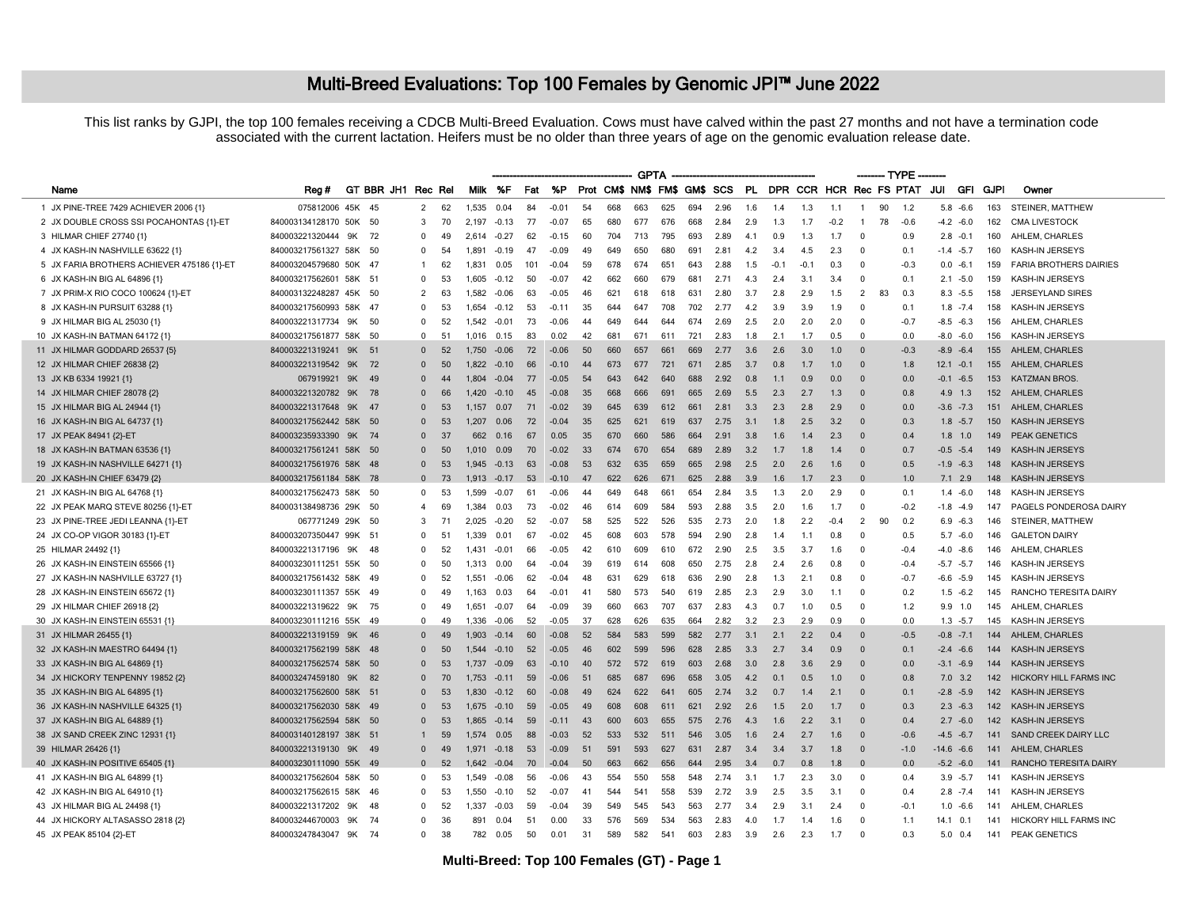## Multi-Breed Evaluations: Top 100 Females by Genomic JPI<sup>™</sup> June 2022

This list ranks by GJPI, the top 100 females receiving a CDCB Multi-Breed Evaluation. Cows must have calved within the past 27 months and not have a termination code associated with the current lactation. Heifers must be no older than three years of age on the genomic evaluation release date.

|                                            |                        |        |                    |                |     |       |         |     |         |    |     | <b>GPTA</b> |     |     |      |     |        |        |        |                         |    | ------- TYPE -----                                          |               |              |     |                               |
|--------------------------------------------|------------------------|--------|--------------------|----------------|-----|-------|---------|-----|---------|----|-----|-------------|-----|-----|------|-----|--------|--------|--------|-------------------------|----|-------------------------------------------------------------|---------------|--------------|-----|-------------------------------|
| Name                                       | Reg #                  |        | GT BBR JH1 Rec Rel |                |     |       | Milk %F | Fat | %P      |    |     |             |     |     |      |     |        |        |        |                         |    | Prot CM\$ NM\$ FM\$ GM\$ SCS PL DPR CCR HCR Rec FS PTAT JUI |               | GFI GJPI     |     | Owner                         |
| 1 JX PINE-TREE 7429 ACHIEVER 2006 {1}      | 075812006 45K 45       |        |                    | $\overline{2}$ | 62  | 1,535 | 0.04    | 84  | $-0.01$ | 54 | 668 | 663         | 625 | 694 | 2.96 | 1.6 | 1.4    | 1.3    | 1.1    | $\mathbf{1}$            | 90 | 1.2                                                         |               | $5.8 - 6.6$  | 163 | STEINER, MATTHEW              |
| 2 JX DOUBLE CROSS SSI POCAHONTAS {1}-ET    | 840003134128170 50K 50 |        |                    | 3              | 70  | 2.197 | $-0.13$ | 77  | $-0.07$ | 65 | 680 | 677         | 676 | 668 | 2.84 | 2.9 | 1.3    | 1.7    | $-0.2$ | - 1                     | 78 | $-0.6$                                                      |               | $-4.2 -6.0$  | 162 | <b>CMA LIVESTOCK</b>          |
| 3 HILMAR CHIEF 27740 {1}                   | 840003221320444 9K     |        | 72                 | $\Omega$       | 49  | 2.614 | $-0.27$ | 62  | $-0.15$ | 60 | 704 | 713         | 795 | 693 | 2.89 | 4.1 | 09     | 1.3    | 1.7    | $\overline{\mathbf{0}}$ |    | 0.9                                                         | $2.8 - 0.1$   |              | 160 | AHLEM, CHARLES                |
| 4 JX KASH-IN NASHVILLE 63622 {1}           | 840003217561327 58K 50 |        |                    | $\Omega$       | 54  | 1.891 | $-0.19$ | 47  | $-0.09$ | 49 | 649 | 650         | 680 | 691 | 2.81 | 4.2 | 3.4    | 4.5    | 2.3    | $\overline{\mathbf{0}}$ |    | 0.1                                                         | $-1.4 -5.7$   |              | 160 | KASH-IN JERSEYS               |
| 5 JX FARIA BROTHERS ACHIEVER 475186 {1}-ET | 840003204579680        | 50K 47 |                    | -1             | 62  | 1.831 | 0.05    | 101 | $-0.04$ | 59 | 678 | 674         | 651 | 643 | 2.88 | 1.5 | $-0.1$ | $-0.1$ | 0.3    | $\Omega$                |    | $-0.3$                                                      | $0.0 - 6.1$   |              | 159 | <b>FARIA BROTHERS DAIRIES</b> |
| 6 JX KASH-IN BIG AL 64896 {1}              | 840003217562601 58K 51 |        |                    | $\Omega$       | 53  | 1.605 | $-0.12$ | 50  | $-0.07$ | 42 | 662 | 660         | 679 | 681 | 2.71 | 4.3 | 2.4    | 3.1    | 3.4    | $\Omega$                |    | 0.1                                                         |               | $2.1 - 5.0$  | 159 | KASH-IN JERSEYS               |
| 7 JX PRIM-X RIO COCO 100624 {1}-ET         | 840003132248287 45K    |        | - 50               | $\mathcal{P}$  | 63  | 1.582 | -0.06   | 63  | $-0.05$ | 46 | 621 | 618         | 618 | 631 | 2.80 | 3.7 | 2.8    | 2.9    | 1.5    | $\overline{2}$          | 83 | 0.3                                                         |               | $8.3 - 5.5$  | 158 | <b>JERSEYLAND SIRES</b>       |
| 8 JX KASH-IN PURSUIT 63288 {1}             | 840003217560993 58K 47 |        |                    | $\Omega$       | 53  | 1.654 | $-0.12$ | 53  | $-0.11$ | 35 | 644 | 647         | 708 | 702 | 2.77 | 4.2 | 3.9    | 3.9    | 1.9    | $\mathbf{0}$            |    | 0.1                                                         |               | $1.8 - 7.4$  | 158 | KASH-IN JERSEYS               |
| 9 JX HILMAR BIG AL 25030 {1}               | 840003221317734        | 9K     | - 50               | $\Omega$       | 52  | 1.542 | $-0.01$ | 73  | $-0.06$ | 44 | 649 | 644         | 644 | 674 | 2.69 | 2.5 | 2.0    | 2.0    | 2.0    | $\mathbf{0}$            |    | $-0.7$                                                      | $-8.5 -6.3$   |              | 156 | AHLEM, CHARLES                |
| 10 JX KASH-IN BATMAN 64172 {1}             | 840003217561877 58K 50 |        |                    | $\Omega$       | 51  | 1.016 | 0.15    | 83  | 0.02    | 42 | 681 | 671         | 611 | 721 | 2.83 | 1.8 | 2.1    | 1.7    | 0.5    | $\overline{0}$          |    | 0.0                                                         | $-8.0 - 6.0$  |              | 156 | KASH-IN JERSEYS               |
| 11 JX HILMAR GODDARD 26537 {5}             | 840003221319241 9K 51  |        |                    | $\Omega$       | 52  | 1.750 | $-0.06$ | 72  | $-0.06$ | 50 | 660 | 657         | 661 | 669 | 2.77 | 3.6 | 2.6    | 3.0    | 1.0    | $\overline{0}$          |    | $-0.3$                                                      | $-8.9 - 6.4$  |              | 155 | AHLEM, CHARLES                |
| 12 JX HILMAR CHIEF 26838 {2}               | 840003221319542        | 9K     | 72                 | $\Omega$       | 50  | 1.822 | $-0.10$ | 66  | $-0.10$ | 44 | 673 | 677         | 721 | 671 | 2.85 | 3.7 | 0.8    | 1.7    | 1.0    | $\mathbf{0}$            |    | 1.8                                                         | $12.1 - 0.1$  |              | 155 | AHLEM, CHARLES                |
| 13 JX KB 6334 19921 {1}                    | 067919921 9K 49        |        |                    | $\Omega$       | 44  | 1.804 | $-0.04$ | 77  | $-0.05$ | 54 | 643 | 642         | 640 | 688 | 2.92 | 0.8 | 11     | 0.9    | 0.0    | $\Omega$                |    | 0.0                                                         |               | $-0.1 - 6.5$ | 153 | <b>KATZMAN BROS.</b>          |
| 14 JX HILMAR CHIEF 28078 {2}               | 840003221320782 9K     |        | 78                 | $\Omega$       | 66  | 1420  | $-0.10$ | 45  | $-0.08$ | 35 | 668 | 666         | 691 | 665 | 2.69 | 5.5 | 23     | 2.7    | 1.3    | $\Omega$                |    | 0.8                                                         | $4.9$ 1.3     |              | 152 | AHLEM, CHARLES                |
| 15 JX HILMAR BIG AL 24944 {1}              | 840003221317648 9K 47  |        |                    | $\Omega$       | 53  | 1.157 | 0.07    | 71  | $-0.02$ | 39 | 645 | 639         | 612 | 661 | 2.81 | 3.3 | 2.3    | 2.8    | 2.9    | $\Omega$                |    | 0.0                                                         |               | $-3.6 - 7.3$ | 151 | AHLEM, CHARLES                |
| 16 JX KASH-IN BIG AL 64737 {1}             | 840003217562442 58K 50 |        |                    | $\Omega$       | 53  | 1 207 | 0.06    | 72  | $-0.04$ | 35 | 625 | 621         | 619 | 637 | 2.75 | 3.1 | 1.8    | 2.5    | 3.2    | $\Omega$                |    | 0.3                                                         |               | $1.8 - 5.7$  | 150 | <b>KASH-IN JERSEYS</b>        |
| 17 JX PEAK 84941 {2}-ET                    | 840003235933390        | 9K     | 74                 | $\Omega$       | 37  | 662   | 0.16    | 67  | 0.05    | 35 | 670 | 660         | 586 | 664 | 2.91 | 3.8 | 1.6    | 1.4    | 2.3    | $\overline{0}$          |    | 0.4                                                         | $1.8$ 1.0     |              | 149 | <b>PEAK GENETICS</b>          |
| 18 JX KASH-IN BATMAN 63536 {1}             | 840003217561241 58K 50 |        |                    | $\Omega$       | 50  | 1,010 | 0.09    | 70  | $-0.02$ | 33 | 674 | 670         | 654 | 689 | 2.89 | 3.2 | 1.7    | 1.8    | 1.4    | $\overline{0}$          |    | 0.7                                                         | $-0.5 -5.4$   |              | 149 | <b>KASH-IN JERSEYS</b>        |
| 19 JX KASH-IN NASHVILLE 64271 {1}          | 840003217561976 58K 48 |        |                    | $\Omega$       | 53  | 1.945 | $-0.13$ | 63  | $-0.08$ | 53 | 632 | 635         | 659 | 665 | 2.98 | 2.5 | 2.0    | 2.6    | 1.6    | $\Omega$                |    | 0.5                                                         |               | $-1.9 - 6.3$ | 148 | <b>KASH-IN JERSEYS</b>        |
| 20 JX KASH-IN CHIEF 63479 {2}              | 840003217561184 58K 78 |        |                    | $\Omega$       | 73  | 1,913 | $-0.17$ | 53  | $-0.10$ | 47 | 622 | 626         | 671 | 625 | 2.88 | 3.9 | 1.6    | 1.7    | 2.3    | $\overline{0}$          |    | 1.0                                                         | $7.1$ 2.9     |              | 148 | KASH-IN JERSEYS               |
| 21 JX KASH-IN BIG AL 64768 {1}             | 840003217562473 58K 50 |        |                    | $\Omega$       | 53  | 1.599 | $-0.07$ | 61  | $-0.06$ | 44 | 649 | 648         | 661 | 654 | 2.84 | 3.5 | 1.3    | 2.0    | 2.9    | $^{\circ}$              |    | 0.1                                                         |               | $1.4 - 6.0$  | 148 | KASH-IN JERSEYS               |
| 22 JX PEAK MARQ STEVE 80256 {1}-ET         | 840003138498736 29K 50 |        |                    | $\overline{4}$ | 69  | 1.384 | 0.03    | 73  | $-0.02$ | 46 | 614 | 609         | 584 | 593 | 2.88 | 3.5 | 2.0    | 1.6    | 1.7    | $\Omega$                |    | $-0.2$                                                      | $-1.8 - 4.9$  |              | 147 | PAGELS PONDEROSA DAIRY        |
| 23 JX PINE-TREE JEDI LEANNA {1}-ET         | 067771249 29K 50       |        |                    | 3              | -71 | 2.025 | $-0.20$ | 52  | $-0.07$ | 58 | 525 | 522         | 526 | 535 | 2.73 | 2.0 | 1.8    | 2.2    | $-0.4$ | 2                       | 90 | 0.2                                                         |               | $6.9 - 6.3$  | 146 | STEINER, MATTHEW              |
| 24 JX CO-OP VIGOR 30183 {1}-ET             | 840003207350447 99K 51 |        |                    | $\Omega$       | 51  | 1.339 | 0.01    | 67  | $-0.02$ | 45 | 608 | 603         | 578 | 594 | 2.90 | 2.8 | 1.4    | 1.1    | 0.8    | $\Omega$                |    | 0.5                                                         |               | $5.7 - 6.0$  | 146 | <b>GALETON DAIRY</b>          |
| 25 HILMAR 24492 {1}                        | 840003221317196 9K     |        | - 48               | $\Omega$       | 52  | 1.431 | $-0.01$ | 66  | $-0.05$ | 42 | 610 | 609         | 610 | 672 | 2.90 | 2.5 | 3.5    | 3.7    | 1.6    | $\Omega$                |    | $-0.4$                                                      |               | $-4.0 - 8.6$ | 146 | AHLEM, CHARLES                |
| 26 JX KASH-IN EINSTEIN 65566 {1}           | 840003230111251        | 55K    | - 50               | $\Omega$       | 50  | 1.313 | 0.00    | 64  | $-0.04$ | 39 | 619 | 614         | 608 | 650 | 2.75 | 2.8 | 2.4    | 2.6    | 0.8    | $\Omega$                |    | $-0.4$                                                      | $-5.7 -5.7$   |              | 146 | KASH-IN JERSEYS               |
| 27 JX KASH-IN NASHVILLE 63727 {1}          | 840003217561432 58K 49 |        |                    | $\Omega$       | 52  | 1,551 | $-0.06$ | 62  | $-0.04$ | 48 | 631 | 629         | 618 | 636 | 2.90 | 2.8 | 1.3    | 2.1    | 0.8    | $\mathbf{0}$            |    | $-0.7$                                                      | $-6.6 - 5.9$  |              | 145 | KASH-IN JERSEYS               |
| 28 JX KASH-IN EINSTEIN 65672 {1}           | 840003230111357 55K 49 |        |                    | $\Omega$       | 49  | 1.163 | 0.03    | 64  | $-0.01$ | 41 | 580 | 573         | 540 | 619 | 2.85 | 2.3 | 2.9    | 3.0    | 1.1    | $^{\circ}$              |    | 0.2                                                         |               | $1.5 - 6.2$  | 145 | RANCHO TERESITA DAIRY         |
| 29 JX HILMAR CHIEF 26918 {2}               | 840003221319622 9K 75  |        |                    | $\Omega$       | 49  | 1.651 | $-0.07$ | 64  | $-0.09$ | 39 | 660 | 663         | 707 | 637 | 2.83 | 4.3 | 0.7    | 1.0    | 0.5    | $\overline{\mathbf{0}}$ |    | 1.2                                                         | $9.9$ 1.0     |              | 145 | AHLEM, CHARLES                |
| 30 JX KASH-IN EINSTEIN 65531 {1}           | 840003230111216 55K 49 |        |                    | $\Omega$       | 49  | 1.336 | $-0.06$ | 52  | $-0.05$ | 37 | 628 | 626         | 635 | 664 | 2.82 | 3.2 | 2.3    | 2.9    | 0.9    | $\Omega$                |    | 0.0                                                         | $1.3 - 5.7$   |              | 145 | KASH-IN JERSEYS               |
| 31 JX HILMAR 26455 {1}                     | 840003221319159        | 9K     | - 46               | $\Omega$       | 49  | 1.903 | $-0.14$ | 60  | $-0.08$ | 52 | 584 | 583         | 599 | 582 | 2.77 | 3.1 | 2.1    | 2.2    | 0.4    | $\mathbf{0}$            |    | $-0.5$                                                      | $-0.8 - 7.1$  |              | 144 | AHLEM, CHARLES                |
| 32 JX KASH-IN MAESTRO 64494 {1}            | 840003217562199 58K 48 |        |                    | $\Omega$       | 50  | 1.544 | $-0.10$ | 52  | $-0.05$ | 46 | 602 | 599         | 596 | 628 | 2.85 | 3.3 | 2.7    | 3.4    | 0.9    | $\Omega$                |    | 0.1                                                         |               | $-2.4 -6.6$  | 144 | KASH-IN JERSEYS               |
| 33 JX KASH-IN BIG AL 64869 {1}             | 840003217562574 58K 50 |        |                    | $\Omega$       | 53  | 1 737 | $-0.09$ | 63  | $-0.10$ | 40 | 572 | 572         | 619 | 603 | 2.68 | 3.0 | 2.8    | 3.6    | 2.9    | $\Omega$                |    | 0 <sub>0</sub>                                              | $-3.1 - 6.9$  |              | 144 | <b>KASH-IN JERSEYS</b>        |
| 34 JX HICKORY TENPENNY 19852 {2}           | 840003247459180 9K 82  |        |                    | $\Omega$       | 70  | 1,753 | $-0.11$ | 59  | $-0.06$ | 51 | 685 | 687         | 696 | 658 | 3.05 | 4.2 | 0.1    | 0.5    | 1.0    | $\overline{0}$          |    | 0.8                                                         | $7.0$ 3.2     |              | 142 | <b>HICKORY HILL FARMS INC</b> |
| 35 JX KASH-IN BIG AL 64895 (1)             | 840003217562600 58K 51 |        |                    | $\Omega$       | 53  | 1.830 | $-0.12$ | 60  | $-0.08$ | 49 | 624 | 622         | 641 | 605 | 2.74 | 3.2 | 0.7    | 1.4    | 2.1    | $\Omega$                |    | 0.1                                                         | $-2.8 - 5.9$  |              | 142 | <b>KASH-IN JERSEYS</b>        |
| 36 JX KASH-IN NASHVILLE 64325 {1}          | 840003217562030 58K 49 |        |                    | $\Omega$       | 53  | 1.675 | $-0.10$ | 59  | $-0.05$ | 49 | 608 | 608         | 611 | 621 | 2.92 | 2.6 | 1.5    | 2.0    | 1.7    | $\overline{0}$          |    | 0.3                                                         |               | $2.3 - 6.3$  | 142 | KASH-IN JERSEYS               |
| 37 JX KASH-IN BIG AL 64889 {1}             | 840003217562594 58K 50 |        |                    | $\Omega$       | 53  | 1,865 | $-0.14$ | 59  | $-0.11$ | 43 | 600 | 603         | 655 | 575 | 2.76 | 4.3 | 1.6    | 2.2    | 3.1    | $\overline{0}$          |    | 0.4                                                         |               | $2.7 - 6.0$  | 142 | KASH-IN JERSEYS               |
| 38 JX SAND CREEK ZINC 12931 {1}            | 840003140128197 38K 51 |        |                    |                | 59  | 1.574 | 0.05    | 88  | $-0.03$ | 52 | 533 | 532         | 511 | 546 | 3.05 | 1.6 | 2.4    | 2.7    | 1.6    | $\Omega$                |    | $-0.6$                                                      | $-4.5 -6.7$   |              | 141 | SAND CREEK DAIRY LLC          |
| 39 HILMAR 26426 {1}                        | 840003221319130 9K 49  |        |                    | $\Omega$       | 49  | 1.971 | $-0.18$ | 53  | $-0.09$ | 51 | 591 | 593         | 627 | 631 | 2.87 | 3.4 | 3.4    | 3.7    | 1.8    | $\overline{0}$          |    | $-1.0$                                                      | $-14.6 - 6.6$ |              | 141 | AHLEM, CHARLES                |
| 40 JX KASH-IN POSITIVE 65405 {1}           | 840003230111090 55K 49 |        |                    | $\Omega$       | 52  | 1.642 | $-0.04$ | 70  | $-0.04$ | 50 | 663 | 662         | 656 | 644 | 2.95 | 3.4 | 0.7    | 0.8    | 1.8    | $\mathbf{0}$            |    | 0.0                                                         |               | $-5.2 -6.0$  | 141 | RANCHO TERESITA DAIRY         |
| 41 JX KASH-IN BIG AL 64899 {1}             | 840003217562604        | 58K 50 |                    | $\Omega$       | 53  | 1.549 | $-0.08$ | 56  | $-0.06$ | 43 | 554 | 550         | 558 | 548 | 2.74 | 3.1 | 1.7    | 2.3    | 3.0    | $^{\circ}$              |    | 0.4                                                         | $3.9 - 5.7$   |              | 141 | KASH-IN JERSEYS               |
| 42 JX KASH-IN BIG AL 64910 {1}             | 840003217562615 58K    |        | - 46               | $\Omega$       | 53  | 1.550 | $-0.10$ | 52  | $-0.07$ | 41 | 544 | 541         | 558 | 539 | 2.72 | 3.9 | 2.5    | 3.5    | 3.1    | $\overline{\mathbf{0}}$ |    | 0.4                                                         |               | $2.8 - 7.4$  | 141 | KASH-IN JERSEYS               |
| 43 JX HILMAR BIG AL 24498 {1}              | 840003221317202 9K     |        | -48                | $\Omega$       | 52  | 1.337 | $-0.03$ | 59  | $-0.04$ | 39 | 549 | 545         | 543 | 563 | 2.77 | 3.4 | 2.9    | 3.1    | 2.4    | $\overline{0}$          |    | $-0.1$                                                      |               | $1.0 - 6.6$  | 141 | AHLEM, CHARLES                |
| 44 JX HICKORY ALTASASSO 2818 {2}           | 840003244670003        | 9K     | - 74               | $\Omega$       | 36  | 891   | 0.04    | 51  | 0.00    | 33 | 576 | 569         | 534 | 563 | 2.83 | 4.0 | 1.7    | 1.4    | 1.6    | $\mathbf{0}$            |    | 1.1                                                         | 14.1          | 0.1          | 141 | <b>HICKORY HILL FARMS INC</b> |
| 45 JX PEAK 85104 {2}-ET                    | 840003247843047        | 9K     | 74                 | $\Omega$       | 38  | 782   | 0.05    | 50  | 0.01    | 31 | 589 | 582         | 541 | 603 | 2.83 | 3.9 | 2.6    | 2.3    | 1.7    | $\Omega$                |    | 0.3                                                         | 5.0           | 0.4          | 141 | PEAK GENETICS                 |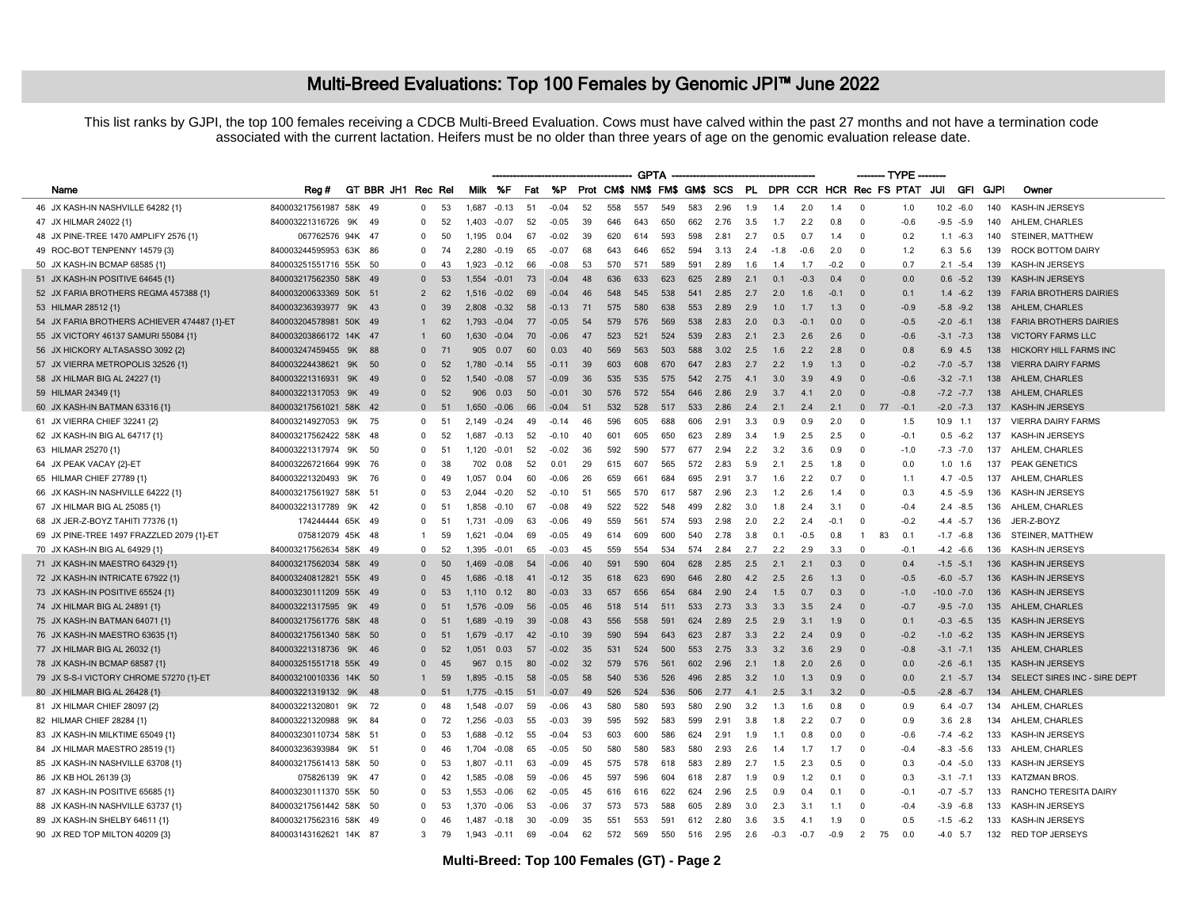## Multi-Breed Evaluations: Top 100 Females by Genomic JPI<sup>™</sup> June 2022

This list ranks by GJPI, the top 100 females receiving a CDCB Multi-Breed Evaluation. Cows must have calved within the past 27 months and not have a termination code associated with the current lactation. Heifers must be no older than three years of age on the genomic evaluation release date.

|                                             |                        |        | <b>GPTA</b>        |                |    |         |                |     |         |     |     |                              |     |     |      | ------- TYPE ------- |        |                |        |                            |                |               |               |      |                               |
|---------------------------------------------|------------------------|--------|--------------------|----------------|----|---------|----------------|-----|---------|-----|-----|------------------------------|-----|-----|------|----------------------|--------|----------------|--------|----------------------------|----------------|---------------|---------------|------|-------------------------------|
| Name                                        | Rea#                   |        | GT BBR JH1 Rec Rel |                |    |         | Milk %F        | Fat | %P      |     |     | Prot CM\$ NM\$ FM\$ GM\$ SCS |     |     |      |                      |        |                |        | PL DPR CCR HCR Rec FS PTAT |                | JUI           | GFI           | GJPI | Owner                         |
| 46 JX KASH-IN NASHVILLE 64282 {1}           | 840003217561987 58K 49 |        |                    | $\mathbf 0$    | 53 | 1,687   | $-0.13$        | 51  | $-0.04$ | 52  | 558 | 557                          | 549 | 583 | 2.96 | 1.9                  | 1.4    | 2.0            | 1.4    | - 0                        | 1.0            |               | $10.2 -6.0$   | 140  | KASH-IN JERSEYS               |
| 47 JX HILMAR 24022 {1}                      | 840003221316726        | 9K     | 49                 | $\mathbf{0}$   | 52 | 1.403   | $-0.07$        | 52  | $-0.05$ | 39  | 646 | 643                          | 650 | 662 | 2.76 | 3.5                  | 1.7    | 2.2            | 0.8    | $\Omega$                   | $-0.6$         |               | $-9.5 -5.9$   | 140  | AHLEM, CHARLES                |
| 48 JX PINE-TREE 1470 AMPLIFY 2576 {1}       | 067762576 94K 47       |        |                    | $\Omega$       | 50 | 1.195   | 0.04           | 67  | $-0.02$ | 39  | 620 | 614                          | 593 | 598 | 2.81 | 2.7                  | 0.5    | 0.7            | 1.4    | $\Omega$                   | 0.2            |               | $1.1 - 6.3$   | 140  | STEINER, MATTHEW              |
| 49 ROC-BOT TENPENNY 14579 {3}               | 840003244595953 63K 86 |        |                    | 0              | 74 | 2,280   | $-0.19$        | 65  | $-0.07$ | 68  | 643 | 646                          | 652 | 594 | 3.13 | 2.4                  | $-1.8$ | $-0.6$         | 2.0    | $\Omega$                   | 1.2            | 6.3           | 5.6           | 139  | ROCK BOTTOM DAIRY             |
| 50 JX KASH-IN BCMAP 68585 {1}               | 840003251551716 55K 50 |        |                    | 0              | 43 | 1.923   | $-0.12$        | 66  | $-0.08$ | 53  | 570 | 571                          | 589 | 591 | 2.89 | 1.6                  | 1.4    | 1.7            | -0.2   | $\Omega$                   | 0.7            |               | $2.1 - 5.4$   | 139  | KASH-IN JERSEYS               |
| 51 JX KASH-IN POSITIVE 64645 {1}            | 840003217562350 58K 49 |        |                    | $\Omega$       | 53 | 1.554   | $-0.01$        | 73  | $-0.04$ | 48  | 636 | 633                          | 623 | 625 | 2.89 | 2.1                  | 0.1    | $-0.3$         | 0.4    | $\Omega$                   | 0.0            |               | $0.6 -5.2$    | 139  | KASH-IN JERSEYS               |
| 52 JX FARIA BROTHERS REGMA 457388 {1}       | 840003200633369        | 50K 51 |                    | $\overline{2}$ | 62 | 1.516   | $-0.02$        | 69  | $-0.04$ | 46  | 548 | 545                          | 538 | 541 | 2.85 | 2.7                  | 2.0    | 1.6            | $-0.1$ | $\mathbf{0}$               | 0.1            | 1.4           | $-6.2$        | 139  | <b>FARIA BROTHERS DAIRIES</b> |
| 53 HILMAR 28512 {1}                         | 840003236393977        | 9K 43  |                    | $\Omega$       | 39 | 2.808   | $-0.32$        | 58  | $-0.13$ | 71  | 575 | 580                          | 638 | 553 | 2.89 | 2.9                  | 1.0    | 1.7            | 1.3    | $\Omega$                   | $-0.9$         |               | $-5.8 - 9.2$  | 138  | AHLEM, CHARLES                |
| 54 JX FARIA BROTHERS ACHIEVER 474487 {1}-ET | 840003204578981 50K 49 |        |                    | $\mathbf{1}$   | 62 | 1 7 9 3 | $-0.04$        | 77  | $-0.05$ | 54  | 579 | 576                          | 569 | 538 | 2.83 | 2.0                  | 0.3    | $-0.1$         | 0.0    | $\Omega$                   | $-0.5$         |               | $-2.0 -6.1$   | 138  | <b>FARIA BROTHERS DAIRIES</b> |
| 55 JX VICTORY 46137 SAMURI 55084 {1}        | 840003203866172 14K 47 |        |                    | $\mathbf{1}$   | 60 | 1,630   | $-0.04$        | 70  | $-0.06$ | 47  | 523 | 521                          | 524 | 539 | 2.83 | 2.1                  | 2.3    | 2.6            | 2.6    | $\Omega$                   | $-0.6$         |               | $-3.1 - 7.3$  | 138  | <b>VICTORY FARMS LLC</b>      |
| 56 JX HICKORY ALTASASSO 3092 {2}            | 840003247459455        | 9K 88  |                    | $\Omega$       | 71 | 905     | 0.07           | 60  | 0.03    | 40  | 569 | 563                          | 503 | 588 | 3.02 | 2.5                  | 1.6    | 2.2            | 2.8    | $\Omega$                   | 0.8            |               | $6.9$ 4.5     | 138  | <b>HICKORY HILL FARMS INC</b> |
| 57 JX VIERRA METROPOLIS 32526 {1}           | 840003224438621        | 9K 50  |                    | $\Omega$       | 52 | 1.780   | $-0.14$        | 55  | $-0.11$ | 39  | 603 | 608                          | 670 | 647 | 2.83 | 2.7                  | 2.2    | 1.9            | 1.3    | $\Omega$                   | $-0.2$         |               | $-7.0 -5.7$   | 138  | <b>VIERRA DAIRY FARMS</b>     |
| 58 JX HILMAR BIG AL 24227 {1}               | 840003221316931        | 9K 49  |                    | $\Omega$       | 52 | 1.540   | $-0.08$        | 57  | $-0.09$ | 36  | 535 | 535                          | 575 | 542 | 2.75 | 4.1                  | 3.0    | 3.9            | 4.9    | $\Omega$                   | $-0.6$         |               | $-3.2 -7.1$   | 138  | AHLEM, CHARLES                |
| 59 HILMAR 24349 {1}                         | 840003221317053        | 9K 49  |                    | $\Omega$       | 52 | 906     | 0.03           | 50  | $-0.01$ | 30  | 576 | 572                          | 554 | 646 | 2.86 | 2.9                  | 3.7    | 4.1            | 2.0    | $\Omega$                   | $-0.8$         |               | $-7.2$ $-7.7$ | 138  | AHLEM, CHARLES                |
| 60 JX KASH-IN BATMAN 63316 {1}              | 840003217561021 58K 42 |        |                    | $\Omega$       | 51 | 1.650   | $-0.06$        | 66  | $-0.04$ | 51  | 532 | 528                          | 517 | 533 | 2.86 | 2.4                  | 2.1    | 2.4            | 2.1    | $\Omega$<br>77             | $-0.1$         |               | $-2.0 -7.3$   | 137  | KASH-IN JERSEYS               |
| 61 JX VIERRA CHIEF 32241 {2}                | 840003214927053        | 9K     | 75                 | $\Omega$       | 51 | 2.149   | $-0.24$        | 49  | $-0.14$ | 46  | 596 | 605                          | 688 | 606 | 2.91 | 3.3                  | 0.9    | 09             | 2.0    | $\Omega$                   | 1.5            | 10.9          | $-1.1$        | 137  | <b>VIERRA DAIRY FARMS</b>     |
| 62 JX KASH-IN BIG AL 64717 {1}              | 840003217562422 58K 48 |        |                    | $^{\circ}$     | 52 | 1,687   | $-0.13$        | 52  | $-0.10$ | 40  | 601 | 605                          | 650 | 623 | 2.89 | 3.4                  | 1.9    | 2.5            | 2.5    | $\Omega$                   | $-0.1$         |               | $0.5 - 6.2$   | 137  | KASH-IN JERSEYS               |
| 63 HILMAR 25270 {1}                         | 840003221317974        | 9K     | - 50               | 0              | 51 | 1.120   | $-0.01$        | 52  | $-0.02$ | 36  | 592 | 590                          | 577 | 677 | 2.94 | 2.2                  | 3.2    | 3.6            | 0.9    | $\Omega$                   | $-1.0$         |               | $-7.3 - 7.0$  | 137  | AHLEM, CHARLES                |
| 64 JX PEAK VACAY {2}-ET                     | 840003226721664 99K 76 |        |                    | $\Omega$       | 38 | 702     | 0.08           | 52  | 0.01    | 29  | 615 | 607                          | 565 | 572 | 2.83 | 5.9                  | 2.1    | 2.5            | 1.8    | $\Omega$                   | 0.0            |               | $1.0$ 1.6     | 137  | PEAK GENETICS                 |
| 65 HILMAR CHIEF 27789 {1}                   | 840003221320493        | 9K 76  |                    | $^{\circ}$     | 49 | 1.057   | 0.04           | 60  | $-0.06$ | 26  | 659 | 661                          | 684 | 695 | 2.91 | 3.7                  | 1.6    | 2.2            | 0.7    | $\Omega$                   | 1.1            |               | $4.7 - 0.5$   | 137  | AHLEM, CHARLES                |
| 66 JX KASH-IN NASHVILLE 64222 {1}           | 840003217561927        | 58K 51 |                    | $^{\circ}$     | 53 | 2044    | $-0.20$        | 52  | $-0.10$ | 51  | 565 | 570                          | 617 | 587 | 2.96 | 2.3                  | 1.2    | 26             | 1.4    | $\Omega$                   | 0.3            | 4.5           | $-5.9$        | 136  | KASH-IN JERSEYS               |
| 67 JX HILMAR BIG AL 25085 {1}               | 840003221317789        | 9K 42  |                    | 0              | 51 | 1,858   | $-0.10$        | 67  | $-0.08$ | 49  | 522 | 522                          | 548 | 499 | 2.82 | 3.0                  | 1.8    | 2.4            | 3.1    | $\Omega$                   | $-0.4$         |               | $2.4 - 8.5$   | 136  | AHLEM, CHARLES                |
| 68 JX JER-Z-BOYZ TAHITI 77376 {1}           | 174244444 65K 49       |        |                    | 0              | 51 | 1.731   | $-0.09$        | 63  | $-0.06$ | -49 | 559 | 561                          | 574 | 593 | 2.98 | 2.0                  | 2.2    | 24             | $-0.1$ | $\Omega$                   | $-0.2$         |               | $-4.4 - 5.7$  | 136  | JER-Z-BOYZ                    |
| 69 JX PINE-TREE 1497 FRAZZLED 2079 {1}-ET   | 075812079 45K 48       |        |                    | 1              | 59 | 1,621   | $-0.04$        | 69  | $-0.05$ | 49  | 614 | 609                          | 600 | 540 | 2.78 | 3.8                  | 0.1    | $-0.5$         | 0.8    | $\mathbf{1}$<br>83         | 0.1            |               | $-1.7 -6.8$   | 136  | STEINER, MATTHEW              |
| 70 JX KASH-IN BIG AL 64929 {1}              | 840003217562634 58K 49 |        |                    | $^{\circ}$     | 52 | 1.395   | $-0.01$        | 65  | $-0.03$ | 45  | 559 | 554                          | 534 | 574 | 2.84 | 2.7                  | 2.2    | 2.9            | 3.3    | $\Omega$                   | $-0.1$         |               | $-4.2 -6.6$   | 136  | KASH-IN JERSEYS               |
| 71 JX KASH-IN MAESTRO 64329 {1}             | 840003217562034 58K 49 |        |                    | $\Omega$       | 50 | 1469    | $-0.08$        | 54  | $-0.06$ | 40  | 591 | 590                          | 604 | 628 | 2.85 | 2.5                  | 2.1    | 2.1            | 0.3    | $\Omega$                   | 0.4            |               | $-1.5 - 5.1$  | 136  | <b>KASH-IN JERSEYS</b>        |
| 72 JX KASH-IN INTRICATE 67922 {1}           | 840003240812821 55K 49 |        |                    | $\Omega$       | 45 | 1.686   | $-0.18$        | 41  | $-0.12$ | 35  | 618 | 623                          | 690 | 646 | 2.80 | 4.2                  | 2.5    | 2.6            | 1.3    | $\Omega$                   | $-0.5$         |               | $-6.0 -5.7$   | 136  | KASH-IN JERSEYS               |
| 73 JX KASH-IN POSITIVE 65524 {1}            | 840003230111209 55K 49 |        |                    | $\mathbf{0}$   | 53 | 1.110   | 0.12           | 80  | $-0.03$ | 33  | 657 | 656                          | 654 | 684 | 2.90 | 2.4                  | 1.5    | 0.7            | 0.3    | $\overline{0}$             | $-1.0$         | $-10.0 - 7.0$ |               | 136  | KASH-IN JERSEYS               |
| 74 JX HILMAR BIG AL 24891 {1}               | 840003221317595        | 9K 49  |                    | $\Omega$       | 51 | 1.576   | $-0.09$        | 56  | $-0.05$ | 46  | 518 | 514                          | 511 | 533 | 2.73 | 3.3                  | 3.3    | 3.5            | 2.4    | $\Omega$                   | $-0.7$         |               | $-9.5 -7.0$   | 135  | AHLEM, CHARLES                |
| 75 JX KASH-IN BATMAN 64071 {1}              | 840003217561776 58K 48 |        |                    | $\Omega$       | 51 | 1689    | $-0.19$        | 39  | $-0.08$ | 43  | 556 | 558                          | 591 | 624 | 2.89 | 2.5                  | 2.9    | 3.1            | 1.9    | $\Omega$                   | 0.1            |               | $-0.3 -6.5$   | 135  | KASH-IN JERSEYS               |
| 76 JX KASH-IN MAESTRO 63635 {1}             | 840003217561340 58K 50 |        |                    | $\Omega$       | 51 | 1,679   | $-0.17$        | 42  | $-0.10$ | 39  | 590 | 594                          | 643 | 623 | 2.87 | 3.3                  | 2.2    | 2.4            | 0.9    | $\Omega$                   | $-0.2$         |               | $-1.0 -6.2$   | 135  | KASH-IN JERSEYS               |
| 77 JX HILMAR BIG AL 26032 {1}               | 840003221318736        | 9K 46  |                    | $\Omega$       | 52 | 1.051   | 0.03           | 57  | $-0.02$ | 35  | 531 | 524                          | 500 | 553 | 2.75 | 3.3                  | 3.2    | 3.6            | 2.9    | $\Omega$                   | $-0.8$         |               | $-3.1 - 7.1$  | 135  | AHLEM, CHARLES                |
| 78 JX KASH-IN BCMAP 68587 {1}               | 840003251551718 55K 49 |        |                    | $\Omega$       | 45 | 967     | 0.15           | 80  | $-0.02$ | 32  | 579 | 576                          | 561 | 602 | 2.96 | 2.1                  | 1.8    | 2.0            | 2.6    | $\Omega$                   | 0 <sub>0</sub> |               | $-2.6 -6.1$   | 135  | <b>KASH-IN JERSEYS</b>        |
| 79 JX S-S-I VICTORY CHROME 57270 {1}-ET     | 840003210010336 14K 50 |        |                    | $\mathbf{1}$   | 59 | 1,895   | $-0.15$        | 58  | $-0.05$ | 58  | 540 | 536                          | 526 | 496 | 2.85 | 3.2                  | 1.0    | 1.3            | 0.9    | $\overline{0}$             | 0.0            |               | $2.1 - 5.7$   | 134  | SELECT SIRES INC - SIRE DEPT  |
| 80 JX HILMAR BIG AL 26428 {1}               | 840003221319132        | 9K     | - 48               | $\Omega$       | 51 |         | $-0.15$        | 51  | $-0.07$ | 49  | 526 | 524                          | 536 | 506 | 2.77 | 4.1                  | 2.5    | 3.1            | 3.2    | $\Omega$                   | $-0.5$         |               | $-2.8 - 6.7$  | 134  | AHLEM, CHARLES                |
| 81 JX HILMAR CHIEF 28097 {2}                | 840003221320801        | 9K 72  |                    | $\Omega$       | 48 | 1.548   | $-0.07$        | 59  | $-0.06$ | 43  | 580 | 580                          | 593 | 580 | 2.90 | 3.2                  | 1.3    | 1.6            | 0.8    | - 0                        | 0.9            |               | $6.4 -0.7$    | 134  | AHLEM, CHARLES                |
| 82 HILMAR CHIEF 28284 {1}                   | 840003221320988        | 9K     | - 84               | $\Omega$       | 72 | 1.256   | $-0.03$        | 55  | $-0.03$ | 39  | 595 | 592                          | 583 | 599 | 2.91 | 3.8                  | 1.8    | 22             | 0.7    | $\Omega$                   | 0.9            |               | $3.6$ 2.8     | 134  | AHLEM, CHARLES                |
| 83 JX KASH-IN MILKTIME 65049 {1}            | 840003230110734 58K 51 |        |                    | 0              | 53 | 1.688   | $-0.12$        | 55  | $-0.04$ | 53  | 603 | 600                          | 586 | 624 | 2.91 | 1.9                  | 1.1    | 0.8            | 0.0    | $\Omega$                   | $-0.6$         |               | $-7.4 -6.2$   | 133  | KASH-IN JERSEYS               |
| 84 JX HILMAR MAESTRO 28519 {1}              | 840003236393984        | 9K 51  |                    | $\Omega$       | 46 | 1 704   | $-0.08$        | 65  | $-0.05$ | 50  | 580 | 580                          | 583 | 580 | 2.93 | 2.6                  | 1.4    | 17             | 1.7    | $\Omega$                   | $-0.4$         |               | $-8.3 - 5.6$  | 133  | AHLEM, CHARLES                |
| 85 JX KASH-IN NASHVILLE 63708 {1}           | 840003217561413 58K 50 |        |                    | 0              | 53 | 1.807   | $-0.11$        | 63  | $-0.09$ | 45  | 575 | 578                          | 618 | 583 | 2.89 | 2.7                  | 1.5    | 2.3            | 0.5    | $\Omega$                   | 0.3            |               | $-0.4 -5.0$   | 133  | KASH-IN JERSEYS               |
| 86 JX KB HOL 26139 {3}                      | 075826139              | 9K 47  |                    | 0              | 42 | 1,585   | $-0.08$        | 59  | $-0.06$ | 45  | 597 | 596                          | 604 | 618 | 2.87 | 1.9                  | 0.9    | 1.2            | 0.1    | 0                          | 0.3            |               | $-3.1 - 7.1$  | 133  | <b>KATZMAN BROS</b>           |
| 87 JX KASH-IN POSITIVE 65685 {1}            | 840003230111370 55K    |        | - 50               | 0              | 53 | 1.553   | $-0.06$        | 62  | $-0.05$ | 45  | 616 | 616                          | 622 | 624 | 2.96 | 2.5                  | 0.9    |                | 0.1    | $\Omega$                   | $-0.7$         | $-0.7$        | $-5.7$        | 133  | RANCHO TERESITA DAIRY         |
| 88 JX KASH-IN NASHVILLE 63737 {1}           | 840003217561442 58K 50 |        |                    | 0              | 53 | 1.370   | $-0.06$        | 53  | $-0.06$ | 37  | 573 | 573                          | 588 | 605 | 2.89 | 3.0                  | 2.3    | 3.1            | 1.1    | $\Omega$                   | $-0.4$         |               | $-3.9 - 6.8$  | 133  | KASH-IN JERSEYS               |
| 89 JX KASH-IN SHELBY 64611 {1}              | 840003217562316 58K 49 |        |                    | $\Omega$       | 46 | 1.487   | $-0.18$        | 30  | $-0.09$ | 35  | 551 | 553                          | 591 | 612 | 2.80 | 3.6                  | 3.5    | $\overline{a}$ | 1.9    | $\Omega$                   | 0.5            |               | $-1.5 -6.2$   | 133  | KASH-IN JERSEYS               |
| 90 JX RED TOP MILTON 40209 {3}              | 840003143162621 14K 87 |        |                    | 3              | 79 |         | $1.943 - 0.11$ | 69  | $-0.04$ | 62  | 572 | 569                          | 550 | 516 | 2.95 | 2.6                  | $-0.3$ | $-0.7$         | $-0.9$ | $\overline{2}$<br>75       | 0.0            |               | $-4.0$ 5.7    |      | 132 RED TOP JERSEYS           |
|                                             |                        |        |                    |                |    |         |                |     |         |     |     |                              |     |     |      |                      |        |                |        |                            |                |               |               |      |                               |